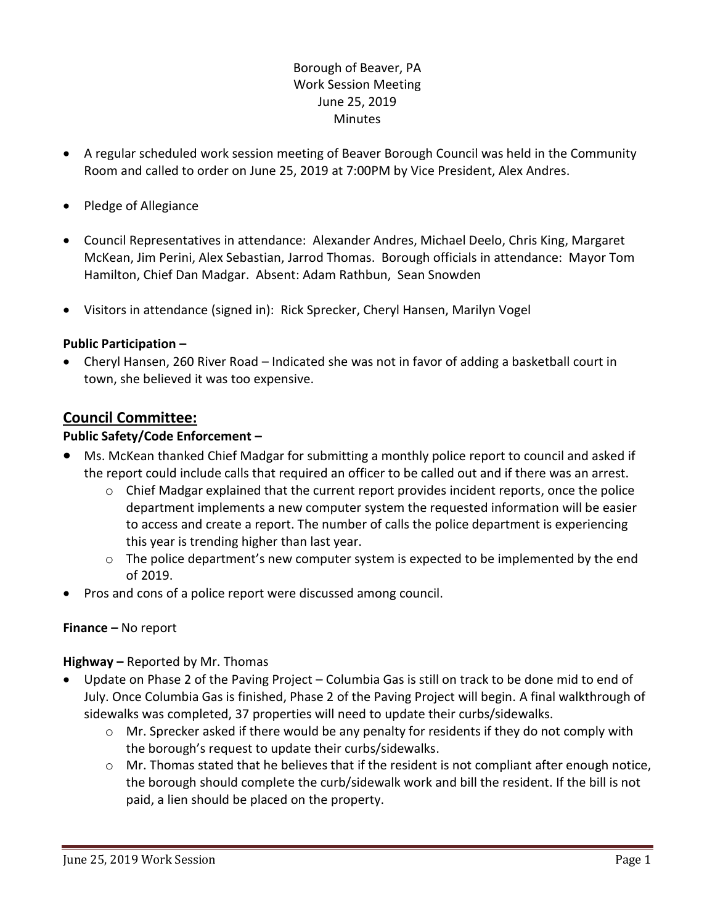## Borough of Beaver, PA Work Session Meeting June 25, 2019 **Minutes**

- A regular scheduled work session meeting of Beaver Borough Council was held in the Community Room and called to order on June 25, 2019 at 7:00PM by Vice President, Alex Andres.
- Pledge of Allegiance
- Council Representatives in attendance: Alexander Andres, Michael Deelo, Chris King, Margaret McKean, Jim Perini, Alex Sebastian, Jarrod Thomas. Borough officials in attendance: Mayor Tom Hamilton, Chief Dan Madgar. Absent: Adam Rathbun, Sean Snowden
- Visitors in attendance (signed in): Rick Sprecker, Cheryl Hansen, Marilyn Vogel

### **Public Participation –**

 Cheryl Hansen, 260 River Road – Indicated she was not in favor of adding a basketball court in town, she believed it was too expensive.

## **Council Committee:**

### **Public Safety/Code Enforcement –**

- Ms. McKean thanked Chief Madgar for submitting a monthly police report to council and asked if the report could include calls that required an officer to be called out and if there was an arrest.
	- $\circ$  Chief Madgar explained that the current report provides incident reports, once the police department implements a new computer system the requested information will be easier to access and create a report. The number of calls the police department is experiencing this year is trending higher than last year.
	- $\circ$  The police department's new computer system is expected to be implemented by the end of 2019.
- Pros and cons of a police report were discussed among council.

#### **Finance –** No report

#### **Highway –** Reported by Mr. Thomas

- Update on Phase 2 of the Paving Project Columbia Gas is still on track to be done mid to end of July. Once Columbia Gas is finished, Phase 2 of the Paving Project will begin. A final walkthrough of sidewalks was completed, 37 properties will need to update their curbs/sidewalks.
	- o Mr. Sprecker asked if there would be any penalty for residents if they do not comply with the borough's request to update their curbs/sidewalks.
	- $\circ$  Mr. Thomas stated that he believes that if the resident is not compliant after enough notice, the borough should complete the curb/sidewalk work and bill the resident. If the bill is not paid, a lien should be placed on the property.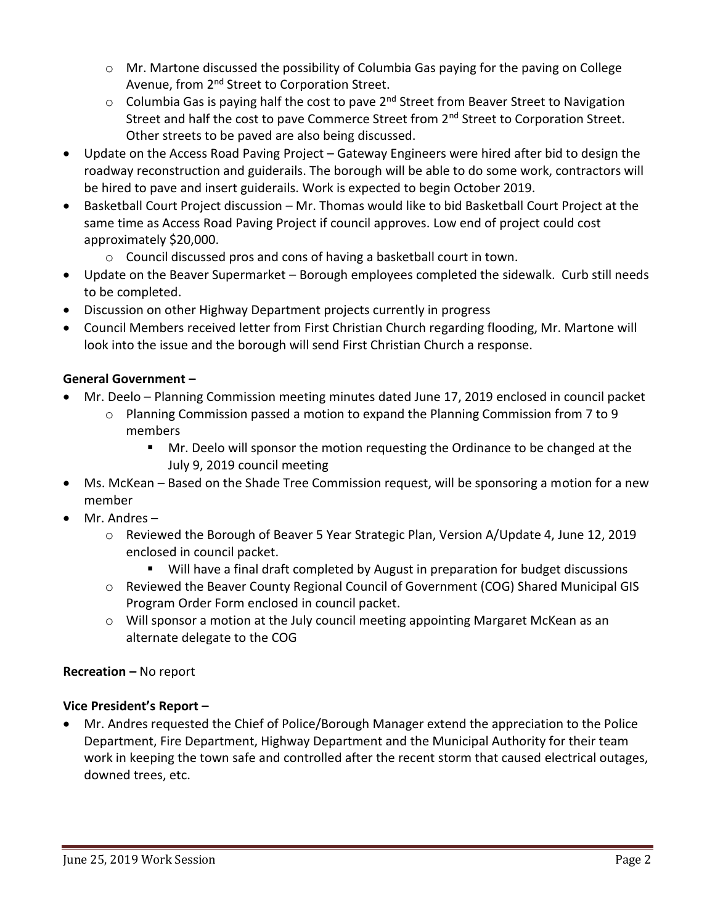- $\circ$  Mr. Martone discussed the possibility of Columbia Gas paying for the paying on College Avenue, from 2<sup>nd</sup> Street to Corporation Street.
- $\circ$  Columbia Gas is paying half the cost to pave 2<sup>nd</sup> Street from Beaver Street to Navigation Street and half the cost to pave Commerce Street from 2<sup>nd</sup> Street to Corporation Street. Other streets to be paved are also being discussed.
- Update on the Access Road Paving Project Gateway Engineers were hired after bid to design the roadway reconstruction and guiderails. The borough will be able to do some work, contractors will be hired to pave and insert guiderails. Work is expected to begin October 2019.
- Basketball Court Project discussion Mr. Thomas would like to bid Basketball Court Project at the same time as Access Road Paving Project if council approves. Low end of project could cost approximately \$20,000.
	- o Council discussed pros and cons of having a basketball court in town.
- Update on the Beaver Supermarket Borough employees completed the sidewalk. Curb still needs to be completed.
- Discussion on other Highway Department projects currently in progress
- Council Members received letter from First Christian Church regarding flooding, Mr. Martone will look into the issue and the borough will send First Christian Church a response.

# **General Government –**

- Mr. Deelo Planning Commission meeting minutes dated June 17, 2019 enclosed in council packet
	- o Planning Commission passed a motion to expand the Planning Commission from 7 to 9 members
		- **Mr.** Deelo will sponsor the motion requesting the Ordinance to be changed at the July 9, 2019 council meeting
- Ms. McKean Based on the Shade Tree Commission request, will be sponsoring a motion for a new member
- Mr. Andres
	- o Reviewed the Borough of Beaver 5 Year Strategic Plan, Version A/Update 4, June 12, 2019 enclosed in council packet.
		- Will have a final draft completed by August in preparation for budget discussions
	- o Reviewed the Beaver County Regional Council of Government (COG) Shared Municipal GIS Program Order Form enclosed in council packet.
	- o Will sponsor a motion at the July council meeting appointing Margaret McKean as an alternate delegate to the COG

## **Recreation –** No report

## **Vice President's Report –**

 Mr. Andres requested the Chief of Police/Borough Manager extend the appreciation to the Police Department, Fire Department, Highway Department and the Municipal Authority for their team work in keeping the town safe and controlled after the recent storm that caused electrical outages, downed trees, etc.